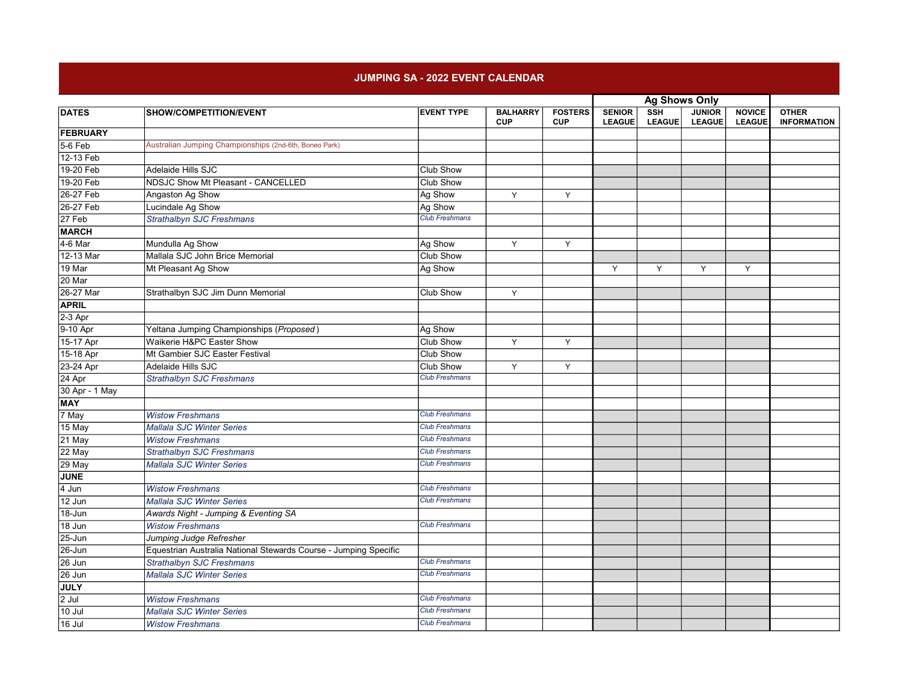## JUMPING SA - 2022 EVENT CALENDAR

|                            |                                                                  |                       |                               |                              | <b>Ag Shows Only</b>           |                                          |                                |                                |                                    |
|----------------------------|------------------------------------------------------------------|-----------------------|-------------------------------|------------------------------|--------------------------------|------------------------------------------|--------------------------------|--------------------------------|------------------------------------|
| <b>DATES</b>               | SHOW/COMPETITION/EVENT                                           | <b>EVENT TYPE</b>     | <b>BALHARRY</b><br><b>CUP</b> | <b>FOSTERS</b><br><b>CUP</b> | <b>SENIOR</b><br><b>LEAGUE</b> | $\overline{\text{ssH}}$<br><b>LEAGUE</b> | <b>JUNIOR</b><br><b>LEAGUE</b> | <b>NOVICE</b><br><b>LEAGUE</b> | <b>OTHER</b><br><b>INFORMATION</b> |
| <b>FEBRUARY</b>            |                                                                  |                       |                               |                              |                                |                                          |                                |                                |                                    |
| $5-6$ Feb                  | Australian Jumping Championships (2nd-6th, Boneo Park)           |                       |                               |                              |                                |                                          |                                |                                |                                    |
| $12 - 13$ Feb              |                                                                  |                       |                               |                              |                                |                                          |                                |                                |                                    |
| 19-20 Feb                  | Adelaide Hills SJC                                               | Club Show             |                               |                              |                                |                                          |                                |                                |                                    |
| 19-20 Feb                  | NDSJC Show Mt Pleasant - CANCELLED                               | <b>Club Show</b>      |                               |                              |                                |                                          |                                |                                |                                    |
| 26-27 Feb                  | Angaston Ag Show                                                 | Ag Show               | Y                             | Y                            |                                |                                          |                                |                                |                                    |
| 26-27 Feb                  | Lucindale Ag Show                                                | Ag Show               |                               |                              |                                |                                          |                                |                                |                                    |
| $27$ Feb                   | <b>Strathalbyn SJC Freshmans</b>                                 | <b>Club Freshmans</b> |                               |                              |                                |                                          |                                |                                |                                    |
| <b>MARCH</b>               |                                                                  |                       |                               |                              |                                |                                          |                                |                                |                                    |
| $4-6$ Mar                  | Mundulla Ag Show                                                 | Ag Show               | Y                             | Y                            |                                |                                          |                                |                                |                                    |
| 12-13 Mar                  | Mallala SJC John Brice Memorial                                  | <b>Club Show</b>      |                               |                              |                                |                                          |                                |                                |                                    |
| 19 Mar                     | Mt Pleasant Ag Show                                              | Ag Show               |                               |                              | Y                              | Y                                        | Y                              | Y                              |                                    |
| 20 Mar                     |                                                                  |                       |                               |                              |                                |                                          |                                |                                |                                    |
| 26-27 Mar                  | Strathalbyn SJC Jim Dunn Memorial                                | Club Show             | Y                             |                              |                                |                                          |                                |                                |                                    |
| APRIL                      |                                                                  |                       |                               |                              |                                |                                          |                                |                                |                                    |
| $2-3$ Apr                  |                                                                  |                       |                               |                              |                                |                                          |                                |                                |                                    |
| $9-10$ Apr                 | Yeltana Jumping Championships (Proposed)                         | Ag Show               |                               |                              |                                |                                          |                                |                                |                                    |
| 15-17 Apr                  | Waikerie H&PC Easter Show                                        | Club Show             | Y                             | Y                            |                                |                                          |                                |                                |                                    |
| 15-18 Apr                  | Mt Gambier SJC Easter Festival                                   | Club Show             |                               |                              |                                |                                          |                                |                                |                                    |
| 23-24 Apr                  | Adelaide Hills SJC                                               | Club Show             | Y                             | Υ                            |                                |                                          |                                |                                |                                    |
| 24 Apr                     | <b>Strathalbyn SJC Freshmans</b>                                 | <b>Club Freshmans</b> |                               |                              |                                |                                          |                                |                                |                                    |
| 30 Apr - 1 May             |                                                                  |                       |                               |                              |                                |                                          |                                |                                |                                    |
| <b>MAY</b>                 |                                                                  |                       |                               |                              |                                |                                          |                                |                                |                                    |
| $\sqrt{7}$ May             | <b>Wistow Freshmans</b>                                          | <b>Club Freshmans</b> |                               |                              |                                |                                          |                                |                                |                                    |
| $15$ May                   | <b>Mallala SJC Winter Series</b>                                 | <b>Club Freshmans</b> |                               |                              |                                |                                          |                                |                                |                                    |
| 21 May                     | <b>Wistow Freshmans</b>                                          | <b>Club Freshmans</b> |                               |                              |                                |                                          |                                |                                |                                    |
| 22 May                     | Strathalbyn SJC Freshmans                                        | <b>Club Freshmans</b> |                               |                              |                                |                                          |                                |                                |                                    |
| 29 May                     | <b>Mallala SJC Winter Series</b>                                 | <b>Club Freshmans</b> |                               |                              |                                |                                          |                                |                                |                                    |
| <b>JUNE</b>                |                                                                  |                       |                               |                              |                                |                                          |                                |                                |                                    |
| $4$ Jun                    | <b>Wistow Freshmans</b>                                          | <b>Club Freshmans</b> |                               |                              |                                |                                          |                                |                                |                                    |
| 12 Jun                     | Mallala SJC Winter Series                                        | <b>Club Freshmans</b> |                               |                              |                                |                                          |                                |                                |                                    |
| 18-Jun                     | Awards Night - Jumping & Eventing SA                             |                       |                               |                              |                                |                                          |                                |                                |                                    |
| 18 Jun                     | <b>Wistow Freshmans</b>                                          | <b>Club Freshmans</b> |                               |                              |                                |                                          |                                |                                |                                    |
| $\sqrt{25}$ -Jun           | Jumping Judge Refresher                                          |                       |                               |                              |                                |                                          |                                |                                |                                    |
| $26 - Jun$                 | Equestrian Australia National Stewards Course - Jumping Specific |                       |                               |                              |                                |                                          |                                |                                |                                    |
| $26$ Jun                   | Strathalbyn SJC Freshmans                                        | <b>Club Freshmans</b> |                               |                              |                                |                                          |                                |                                |                                    |
| $\sqrt{26}$ Jun            | <b>Mallala SJC Winter Series</b>                                 | <b>Club Freshmans</b> |                               |                              |                                |                                          |                                |                                |                                    |
| <b>JULY</b>                |                                                                  |                       |                               |                              |                                |                                          |                                |                                |                                    |
| $\overline{2 \text{ Jul}}$ | <b>Wistow Freshmans</b>                                          | <b>Club Freshmans</b> |                               |                              |                                |                                          |                                |                                |                                    |
| $\sqrt{10}$ Jul            | <b>Mallala SJC Winter Series</b>                                 | <b>Club Freshmans</b> |                               |                              |                                |                                          |                                |                                |                                    |
| $16$ Jul                   | <b>Wistow Freshmans</b>                                          | <b>Club Freshmans</b> |                               |                              |                                |                                          |                                |                                |                                    |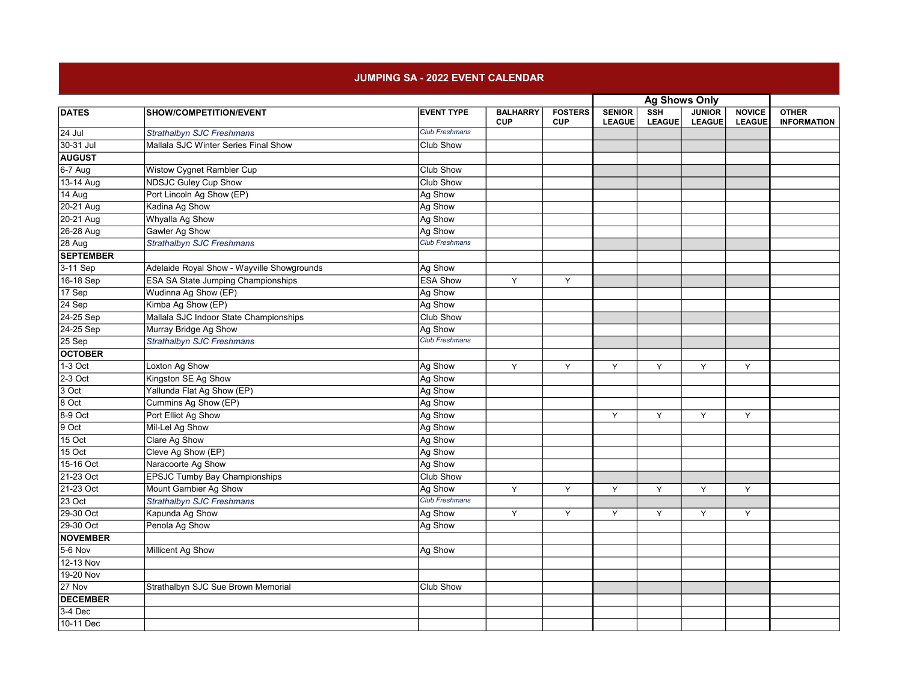## JUMPING SA - 2022 EVENT CALENDAR

|                    |                                            |                       |                               |                              | <b>Ag Shows Only</b>           |                             |                                |                                |                                    |
|--------------------|--------------------------------------------|-----------------------|-------------------------------|------------------------------|--------------------------------|-----------------------------|--------------------------------|--------------------------------|------------------------------------|
| <b>DATES</b>       | SHOW/COMPETITION/EVENT                     | <b>EVENT TYPE</b>     | <b>BALHARRY</b><br><b>CUP</b> | <b>FOSTERS</b><br><b>CUP</b> | <b>SENIOR</b><br><b>LEAGUE</b> | <b>SSH</b><br><b>LEAGUE</b> | <b>JUNIOR</b><br><b>LEAGUE</b> | <b>NOVICE</b><br><b>LEAGUE</b> | <b>OTHER</b><br><b>INFORMATION</b> |
| $24$ Jul           | Strathalbyn SJC Freshmans                  | <b>Club Freshmans</b> |                               |                              |                                |                             |                                |                                |                                    |
| 30-31 Jul          | Mallala SJC Winter Series Final Show       | Club Show             |                               |                              |                                |                             |                                |                                |                                    |
| <b>AUGUST</b>      |                                            |                       |                               |                              |                                |                             |                                |                                |                                    |
| 6-7 Aug            | <b>Wistow Cygnet Rambler Cup</b>           | <b>Club Show</b>      |                               |                              |                                |                             |                                |                                |                                    |
| 13-14 Aug          | <b>NDSJC Guley Cup Show</b>                | <b>Club Show</b>      |                               |                              |                                |                             |                                |                                |                                    |
| 14 Aug             | Port Lincoln Ag Show (EP)                  | Ag Show               |                               |                              |                                |                             |                                |                                |                                    |
| 20-21 Aug          | Kadina Ag Show                             | Ag Show               |                               |                              |                                |                             |                                |                                |                                    |
| 20-21 Aug          | Whyalla Ag Show                            | Ag Show               |                               |                              |                                |                             |                                |                                |                                    |
| 26-28 Aug          | <b>Gawler Ag Show</b>                      | Ag Show               |                               |                              |                                |                             |                                |                                |                                    |
| 28 Aug             | Strathalbyn SJC Freshmans                  | <b>Club Freshmans</b> |                               |                              |                                |                             |                                |                                |                                    |
| <b>SEPTEMBER</b>   |                                            |                       |                               |                              |                                |                             |                                |                                |                                    |
| $3-11$ Sep         | Adelaide Royal Show - Wayville Showgrounds | Ag Show               |                               |                              |                                |                             |                                |                                |                                    |
| 16-18 Sep          | <b>ESA SA State Jumping Championships</b>  | <b>ESA Show</b>       | Y                             | Y                            |                                |                             |                                |                                |                                    |
| $\overline{17$ Sep | Wudinna Ag Show (EP)                       | Ag Show               |                               |                              |                                |                             |                                |                                |                                    |
| $24$ Sep           | Kimba Ag Show (EP)                         | Ag Show               |                               |                              |                                |                             |                                |                                |                                    |
| 24-25 Sep          | Mallala SJC Indoor State Championships     | <b>Club Show</b>      |                               |                              |                                |                             |                                |                                |                                    |
| 24-25 Sep          | Murray Bridge Ag Show                      | Ag Show               |                               |                              |                                |                             |                                |                                |                                    |
| 25 Sep             | <b>Strathalbyn SJC Freshmans</b>           | <b>Club Freshmans</b> |                               |                              |                                |                             |                                |                                |                                    |
| <b>OCTOBER</b>     |                                            |                       |                               |                              |                                |                             |                                |                                |                                    |
| $1-3$ Oct          | Loxton Ag Show                             | Ag Show               | Y                             | Y                            | Y                              | Y                           | Y                              | Y                              |                                    |
| $2-3$ Oct          | Kingston SE Ag Show                        | Ag Show               |                               |                              |                                |                             |                                |                                |                                    |
| $3$ Oct            | Yallunda Flat Ag Show (EP)                 | Ag Show               |                               |                              |                                |                             |                                |                                |                                    |
| 8 Oct              | Cummins Ag Show (EP)                       | Ag Show               |                               |                              |                                |                             |                                |                                |                                    |
| 8-9 Oct            | Port Elliot Ag Show                        | Ag Show               |                               |                              | Y                              | Y                           | Y                              | Y                              |                                    |
| $9$ Oct            | Mil-Lel Ag Show                            | Ag Show               |                               |                              |                                |                             |                                |                                |                                    |
| $15$ Oct           | Clare Ag Show                              | Ag Show               |                               |                              |                                |                             |                                |                                |                                    |
| $15$ Oct           | Cleve Ag Show (EP)                         | Ag Show               |                               |                              |                                |                             |                                |                                |                                    |
| 15-16 Oct          | Naracoorte Ag Show                         | Ag Show               |                               |                              |                                |                             |                                |                                |                                    |
| 21-23 Oct          | <b>EPSJC Tumby Bay Championships</b>       | <b>Club Show</b>      |                               |                              |                                |                             |                                |                                |                                    |
| 21-23 Oct          | Mount Gambier Ag Show                      | Ag Show               | Y                             | Y                            | Y                              | Y                           | Y                              | Y                              |                                    |
| $23$ Oct           | <b>Strathalbyn SJC Freshmans</b>           | <b>Club Freshmans</b> |                               |                              |                                |                             |                                |                                |                                    |
| 29-30 Oct          | Kapunda Ag Show                            | Ag Show               | Y                             | Y                            | Υ                              | Υ                           | Υ                              | Y                              |                                    |
| 29-30 Oct          | Penola Ag Show                             | Ag Show               |                               |                              |                                |                             |                                |                                |                                    |
| <b>NOVEMBER</b>    |                                            |                       |                               |                              |                                |                             |                                |                                |                                    |
| $5-6$ Nov          | <b>Millicent Ag Show</b>                   | Ag Show               |                               |                              |                                |                             |                                |                                |                                    |
| 12-13 Nov          |                                            |                       |                               |                              |                                |                             |                                |                                |                                    |
| 19-20 Nov          |                                            |                       |                               |                              |                                |                             |                                |                                |                                    |
| 27 Nov             | Strathalbyn SJC Sue Brown Memorial         | Club Show             |                               |                              |                                |                             |                                |                                |                                    |
| <b>DECEMBER</b>    |                                            |                       |                               |                              |                                |                             |                                |                                |                                    |
| $3-4$ Dec          |                                            |                       |                               |                              |                                |                             |                                |                                |                                    |
| 10-11 Dec          |                                            |                       |                               |                              |                                |                             |                                |                                |                                    |